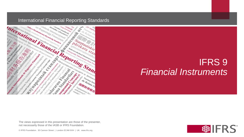

## IFRS 9 *Financial Instruments*

The views expressed in this presentation are those of the presenter, not necessarily those of the IASB or IFRS Foundation.

© IFRS Foundation. 30 Cannon Street | London EC4M 6XH | UK. www.ifrs.org

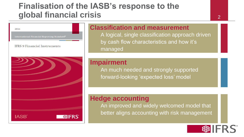#### **Finalisation of the IASB's response to the global financial crisis** <sup>2</sup>



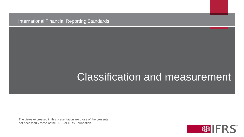# Classification and measurement

The views expressed in this presentation are those of the presenter, not necessarily those of the IASB or IFRS Foundation

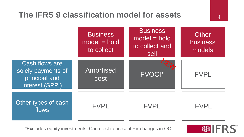#### **The IFRS 9 classification model for assets** <sup>4</sup>



\*Excludes equity investments. Can elect to present FV changes in OCI.

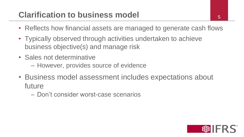## **Clarification to business model**  $\begin{array}{ccc} 5 \end{array}$

- Reflects how financial assets are managed to generate cash flows
- Typically observed through activities undertaken to achieve business objective(s) and manage risk
- Sales not determinative
	- However, provides source of evidence
- Business model assessment includes expectations about future
	- Don't consider worst-case scenarios

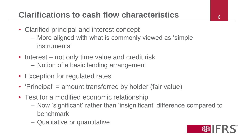# **Clarifications to cash flow characteristics** <sup>6</sup>

- Clarified principal and interest concept
	- More aligned with what is commonly viewed as 'simple instruments'
- Interest not only time value and credit risk
	- Notion of a basic lending arrangement
- Exception for regulated rates
- 'Principal' = amount transferred by holder (fair value)
- Test for a modified economic relationship
	- Now 'significant' rather than 'insignificant' difference compared to benchmark
	- Qualitative or quantitative

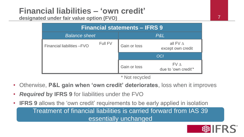# **Financial liabilities – 'own credit'**

**designated under fair value option (FVO)**

| <b>Financial statements - IFRS 9</b> |              |                                      |  |  |  |  |
|--------------------------------------|--------------|--------------------------------------|--|--|--|--|
| <b>Balance sheet</b>                 |              | P&L                                  |  |  |  |  |
| Full FV                              | Gain or loss | all FV $\Delta$<br>except own credit |  |  |  |  |
|                                      | <b>OCI</b>   |                                      |  |  |  |  |
|                                      | Gain or loss | FVA<br>due to 'own credit'*          |  |  |  |  |
|                                      |              |                                      |  |  |  |  |

\* Not recycled

- Otherwise, **P&L gain when 'own credit' deteriorates**, loss when it improves
- *Required* **by IFRS 9** for liabilities under the FVO
- **IFRS 9** allows the 'own credit' requirements to be early applied in isolation Treatment of financial liabilities is carried forward from IAS 39

essentially unchanged

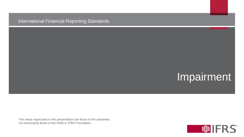# Impairment

The views expressed in this presentation are those of the presenter, not necessarily those of the IASB or IFRS Foundation

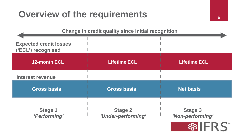# **Overview of the requirements**

| Change in credit quality since initial recognition  |                                      |                                    |  |  |
|-----------------------------------------------------|--------------------------------------|------------------------------------|--|--|
| <b>Expected credit losses</b><br>('ECL') recognised |                                      |                                    |  |  |
| <b>12-month ECL</b>                                 | <b>Lifetime ECL</b>                  | <b>Lifetime ECL</b>                |  |  |
| <b>Interest revenue</b>                             |                                      |                                    |  |  |
| <b>Gross basis</b>                                  | <b>Gross basis</b>                   | <b>Net basis</b>                   |  |  |
| <b>Stage 1</b><br>'Performing'                      | <b>Stage 2</b><br>'Under-performing' | <b>Stage 3</b><br>'Non-performing' |  |  |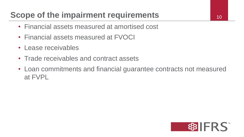# **Scope of the impairment requirements**

- Financial assets measured at amortised cost
- Financial assets measured at FVOCI
- Lease receivables
- Trade receivables and contract assets
- Loan commitments and financial guarantee contracts not measured at FVPL

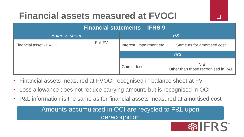# **Financial assets measured at FVOCI** 11

| <b>Financial statements - IFRS 9</b> |         |                          |                                           |  |  |
|--------------------------------------|---------|--------------------------|-------------------------------------------|--|--|
| <b>Balance sheet</b>                 |         | P&L                      |                                           |  |  |
| Financial asset - FVOCI              | Full FV | Interest, impairment etc | Same as for amortised cost                |  |  |
|                                      |         | <b>OCI</b>               |                                           |  |  |
|                                      |         | Gain or loss             | FVA<br>Other than those recognised in P&L |  |  |

- Financial assets measured at FVOCI recognised in balance sheet at FV
- Loss allowance does not reduce carrying amount, but is recognised in OCI
- P&L information is the same as for financial assets measured at amortised cost

Amounts accumulated in OCI are recycled to P&L upon derecognition

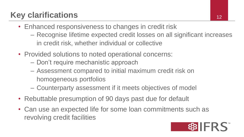# **Key clarifications**

- Enhanced responsiveness to changes in credit risk
	- Recognise lifetime expected credit losses on all significant increases in credit risk, whether individual or collective
- Provided solutions to noted operational concerns:
	- Don't require mechanistic approach
	- Assessment compared to initial maximum credit risk on homogeneous portfolios
	- Counterparty assessment if it meets objectives of model
- Rebuttable presumption of 90 days past due for default
- Can use an expected life for some loan commitments such as revolving credit facilities

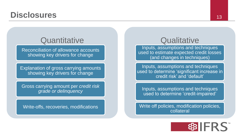#### **Disclosures** 13

#### **Quantitative**

Reconciliation of allowance accounts showing key drivers for change

Explanation of gross carrying amounts showing key drivers for change

Gross carrying amount per *credit risk grade or delinquency*

Write-offs, recoveries, modifications

#### **Qualitative**

Inputs, assumptions and techniques used to estimate expected credit losses (and changes in techniques)

Inputs, assumptions and techniques used to determine 'significant increase in credit risk' and 'default'

Inputs, assumptions and techniques used to determine 'credit-impaired'

Write off policies, modification policies, collateral

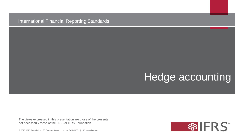# Hedge accounting

The views expressed in this presentation are those of the presenter, not necessarily those of the IASB or IFRS Foundation

© 2013 IFRS Foundation. 30 Cannon Street | London EC4M 6XH | UK. www.ifrs.org

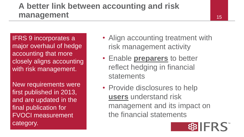#### **A better link between accounting and risk management**

IFRS 9 incorporates a major overhaul of hedge accounting that more closely aligns accounting with risk management.

New requirements were first published in 2013, and are updated in the final publication for FVOCI measurement category.

- Align accounting treatment with risk management activity
- Enable **preparers** to better reflect hedging in financial statements
- Provide disclosures to help **users** understand risk management and its impact on the financial statements

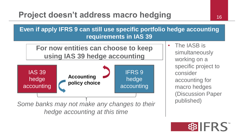### **Project doesn't address macro hedging 16 16**

**Even if apply IFRS 9 can still use specific portfolio hedge accounting requirements in IAS 39**

**For now entities can choose to keep using IAS 39 hedge accounting**



*Some banks may not make any changes to their hedge accounting at this time*

• The IASB is simultaneously working on a specific project to consider accounting for macro hedges (Discussion Paper published)

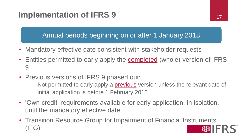#### **Implementation of IFRS 9** 17

Annual periods beginning on or after 1 January 2018

- Mandatory effective date consistent with stakeholder requests
- Entities permitted to early apply the **completed** (whole) version of IFRS 9
- Previous versions of IFRS 9 phased out:
	- Not permitted to early apply a **previous** version unless the relevant date of initial application is before 1 February 2015
- 'Own credit' requirements available for early application, in isolation, until the mandatory effective date
- Transition Resource Group for Impairment of Financial Instruments (ITG)